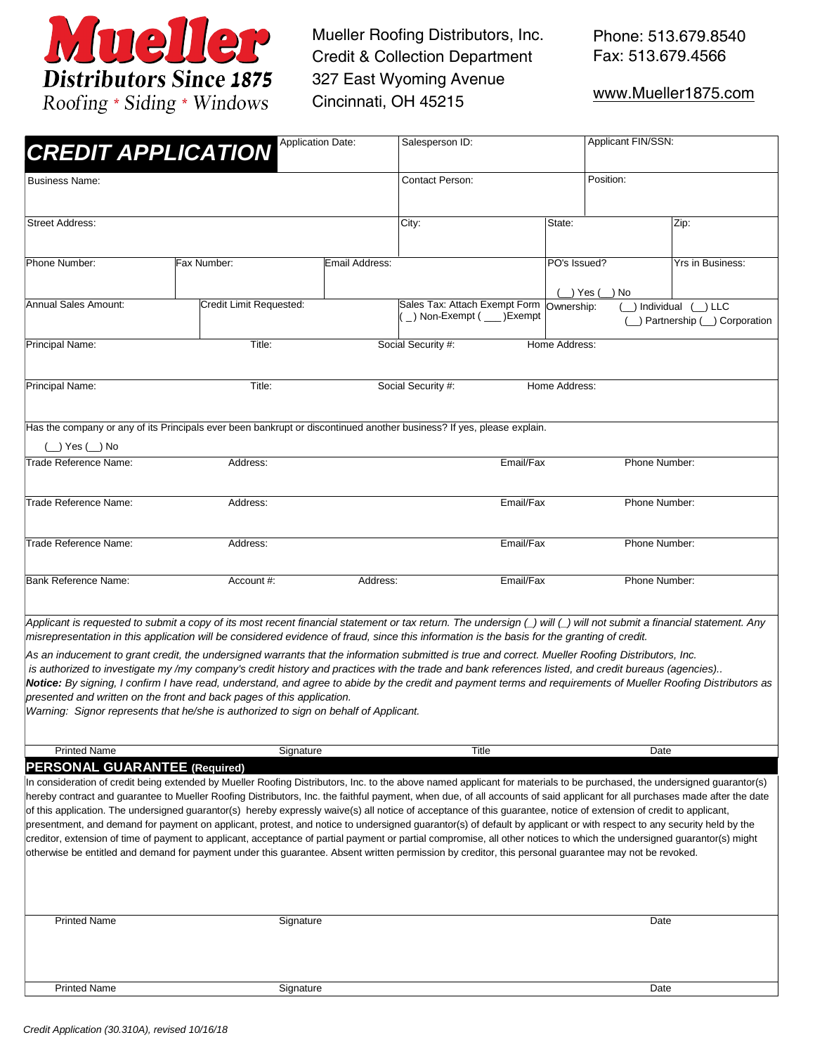

Mueller Roofing Distributors, Inc. Credit & Collection Department 327 East Wyoming Avenue Cincinnati, OH 45215

[www.Mueller1875.co](http://www.muellerroofing.com/)m

| <b>CREDIT APPLICATION</b>                                                                                                                                                                                                                                                                                                                                                                                                                                                                                                                                                                                                                                                                                                                                                                                                                                                                                                                                                                                                                                                           | Salesperson ID:         |                |                               | Applicant FIN/SSN:                    |                         |                      |                                              |  |
|-------------------------------------------------------------------------------------------------------------------------------------------------------------------------------------------------------------------------------------------------------------------------------------------------------------------------------------------------------------------------------------------------------------------------------------------------------------------------------------------------------------------------------------------------------------------------------------------------------------------------------------------------------------------------------------------------------------------------------------------------------------------------------------------------------------------------------------------------------------------------------------------------------------------------------------------------------------------------------------------------------------------------------------------------------------------------------------|-------------------------|----------------|-------------------------------|---------------------------------------|-------------------------|----------------------|----------------------------------------------|--|
| <b>Business Name:</b>                                                                                                                                                                                                                                                                                                                                                                                                                                                                                                                                                                                                                                                                                                                                                                                                                                                                                                                                                                                                                                                               | Contact Person:         |                |                               | Position:                             |                         |                      |                                              |  |
| <b>Street Address:</b>                                                                                                                                                                                                                                                                                                                                                                                                                                                                                                                                                                                                                                                                                                                                                                                                                                                                                                                                                                                                                                                              |                         |                | City:                         |                                       | State:                  |                      | Zip:                                         |  |
| Phone Number:                                                                                                                                                                                                                                                                                                                                                                                                                                                                                                                                                                                                                                                                                                                                                                                                                                                                                                                                                                                                                                                                       | Fax Number:             | Email Address: |                               |                                       | PO's Issued?            |                      | Yrs in Business:                             |  |
| Annual Sales Amount:                                                                                                                                                                                                                                                                                                                                                                                                                                                                                                                                                                                                                                                                                                                                                                                                                                                                                                                                                                                                                                                                | Credit Limit Requested: |                | Sales Tax: Attach Exempt Form | $_{-}$ ) Non-Exempt ( $_{--}$ )Exempt | _) Yes (_<br>Ownership: | ) No<br>) Individual | $( )$ LLC<br>( ) Partnership ( ) Corporation |  |
| Principal Name:                                                                                                                                                                                                                                                                                                                                                                                                                                                                                                                                                                                                                                                                                                                                                                                                                                                                                                                                                                                                                                                                     | Title:                  |                | Social Security #:            |                                       | Home Address:           |                      |                                              |  |
| <b>Principal Name:</b>                                                                                                                                                                                                                                                                                                                                                                                                                                                                                                                                                                                                                                                                                                                                                                                                                                                                                                                                                                                                                                                              | Title:                  |                | Social Security #:            |                                       | Home Address:           |                      |                                              |  |
| Has the company or any of its Principals ever been bankrupt or discontinued another business? If yes, please explain.<br>(__) Yes (__) No                                                                                                                                                                                                                                                                                                                                                                                                                                                                                                                                                                                                                                                                                                                                                                                                                                                                                                                                           |                         |                |                               |                                       |                         |                      |                                              |  |
| Trade Reference Name:                                                                                                                                                                                                                                                                                                                                                                                                                                                                                                                                                                                                                                                                                                                                                                                                                                                                                                                                                                                                                                                               | Address:                |                | Email/Fax                     |                                       | Phone Number:           |                      |                                              |  |
| Trade Reference Name:                                                                                                                                                                                                                                                                                                                                                                                                                                                                                                                                                                                                                                                                                                                                                                                                                                                                                                                                                                                                                                                               | Address:                |                | Email/Fax                     |                                       |                         | Phone Number:        |                                              |  |
| Trade Reference Name:                                                                                                                                                                                                                                                                                                                                                                                                                                                                                                                                                                                                                                                                                                                                                                                                                                                                                                                                                                                                                                                               | Address:                |                |                               | Email/Fax                             |                         |                      | Phone Number:                                |  |
| <b>Bank Reference Name:</b>                                                                                                                                                                                                                                                                                                                                                                                                                                                                                                                                                                                                                                                                                                                                                                                                                                                                                                                                                                                                                                                         | Account #:<br>Address:  |                |                               | Email/Fax                             |                         | Phone Number:        |                                              |  |
| Applicant is requested to submit a copy of its most recent financial statement or tax return. The undersign (_) will (_) will not submit a financial statement. Any<br>misrepresentation in this application will be considered evidence of fraud, since this information is the basis for the granting of credit.<br>As an inducement to grant credit, the undersigned warrants that the information submitted is true and correct. Mueller Roofing Distributors, Inc.<br>is authorized to investigate my /my company's credit history and practices with the trade and bank references listed, and credit bureaus (agencies)<br>Notice: By signing, I confirm I have read, understand, and agree to abide by the credit and payment terms and requirements of Mueller Roofing Distributors as<br>presented and written on the front and back pages of this application.<br>Warning: Signor represents that he/she is authorized to sign on behalf of Applicant.                                                                                                                   |                         |                |                               |                                       |                         |                      |                                              |  |
| <b>Printed Name</b>                                                                                                                                                                                                                                                                                                                                                                                                                                                                                                                                                                                                                                                                                                                                                                                                                                                                                                                                                                                                                                                                 |                         | Signature      |                               | Title                                 |                         | Date                 |                                              |  |
| <b>PERSONAL GUARANTEE (Required)</b><br>In consideration of credit being extended by Mueller Roofing Distributors, Inc. to the above named applicant for materials to be purchased, the undersigned guarantor(s)<br>hereby contract and guarantee to Mueller Roofing Distributors, Inc. the faithful payment, when due, of all accounts of said applicant for all purchases made after the date<br>of this application. The undersigned guarantor(s) hereby expressly waive(s) all notice of acceptance of this guarantee, notice of extension of credit to applicant,<br>presentment, and demand for payment on applicant, protest, and notice to undersigned guarantor(s) of default by applicant or with respect to any security held by the<br>creditor, extension of time of payment to applicant, acceptance of partial payment or partial compromise, all other notices to which the undersigned guarantor(s) might<br>otherwise be entitled and demand for payment under this guarantee. Absent written permission by creditor, this personal guarantee may not be revoked. |                         |                |                               |                                       |                         |                      |                                              |  |
| <b>Printed Name</b>                                                                                                                                                                                                                                                                                                                                                                                                                                                                                                                                                                                                                                                                                                                                                                                                                                                                                                                                                                                                                                                                 | Signature               |                |                               |                                       |                         |                      | Date                                         |  |
| <b>Printed Name</b>                                                                                                                                                                                                                                                                                                                                                                                                                                                                                                                                                                                                                                                                                                                                                                                                                                                                                                                                                                                                                                                                 | Signature               |                | Date                          |                                       |                         |                      |                                              |  |